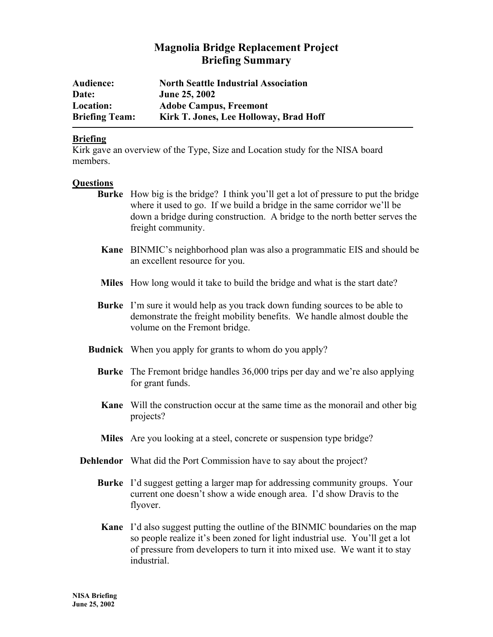# **Magnolia Bridge Replacement Project Briefing Summary**

| Audience:             | <b>North Seattle Industrial Association</b> |
|-----------------------|---------------------------------------------|
| Date:                 | <b>June 25, 2002</b>                        |
| <b>Location:</b>      | <b>Adobe Campus, Freemont</b>               |
| <b>Briefing Team:</b> | Kirk T. Jones, Lee Holloway, Brad Hoff      |

#### **Briefing**

Kirk gave an overview of the Type, Size and Location study for the NISA board members.

#### **Questions**

- **Burke** How big is the bridge? I think you'll get a lot of pressure to put the bridge where it used to go. If we build a bridge in the same corridor we'll be down a bridge during construction. A bridge to the north better serves the freight community.
- **Kane** BINMIC's neighborhood plan was also a programmatic EIS and should be an excellent resource for you.
- **Miles** How long would it take to build the bridge and what is the start date?
- **Burke** I'm sure it would help as you track down funding sources to be able to demonstrate the freight mobility benefits. We handle almost double the volume on the Fremont bridge.
- **Budnick** When you apply for grants to whom do you apply?
	- **Burke** The Fremont bridge handles 36,000 trips per day and we're also applying for grant funds.
	- **Kane** Will the construction occur at the same time as the monorail and other big projects?
	- **Miles** Are you looking at a steel, concrete or suspension type bridge?
- **Dehlendor** What did the Port Commission have to say about the project?
	- **Burke** I'd suggest getting a larger map for addressing community groups. Your current one doesn't show a wide enough area. I'd show Dravis to the flyover.
	- **Kane** I'd also suggest putting the outline of the BINMIC boundaries on the map so people realize it's been zoned for light industrial use. You'll get a lot of pressure from developers to turn it into mixed use. We want it to stay industrial.